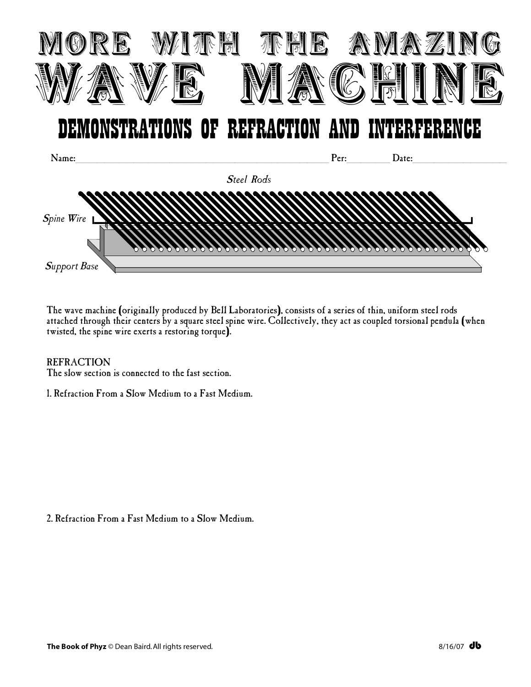

The wave machine (originally produced by Bell Laboratories), consists of a series of thin, uniform steel rods attached through their centers by a square steel spine wire. Collectively, they act as coupled torsional pendula (when twisted, the spine wire exerts a restoring torque).

## **REFRACTION**

The slow section is connected to the fast section.

1. Refraction From a Slow Medium to a Fast Medium.

2. Refraction From a Fast Medium to a Slow Medium.